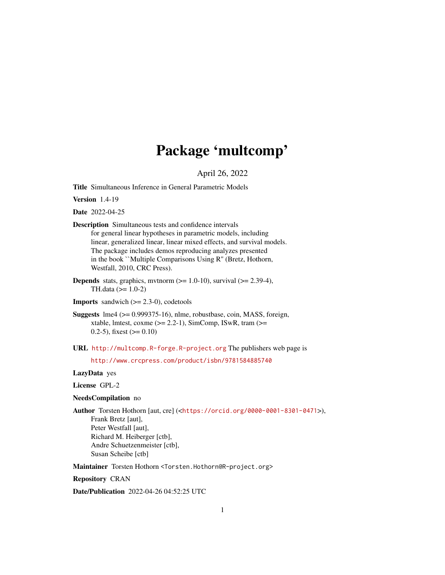# Package 'multcomp'

April 26, 2022

<span id="page-0-0"></span>Title Simultaneous Inference in General Parametric Models

Version 1.4-19

Date 2022-04-25

Description Simultaneous tests and confidence intervals for general linear hypotheses in parametric models, including linear, generalized linear, linear mixed effects, and survival models. The package includes demos reproducing analyzes presented in the book ``Multiple Comparisons Using R'' (Bretz, Hothorn, Westfall, 2010, CRC Press).

**Depends** stats, graphics, mvtnorm  $(>= 1.0-10)$ , survival  $(>= 2.39-4)$ , TH.data (>= 1.0-2)

**Imports** sandwich  $(>= 2.3-0)$ , codetools

Suggests lme4 (>= 0.999375-16), nlme, robustbase, coin, MASS, foreign, xtable, lmtest, coxme  $(>= 2.2-1)$ , SimComp, ISwR, tram  $(>=$ 0.2-5), fixest  $(>= 0.10)$ 

URL <http://multcomp.R-forge.R-project.org> The publishers web page is

<http://www.crcpress.com/product/isbn/9781584885740>

# LazyData yes

License GPL-2

#### NeedsCompilation no

Author Torsten Hothorn [aut, cre] (<<https://orcid.org/0000-0001-8301-0471>>), Frank Bretz [aut], Peter Westfall [aut], Richard M. Heiberger [ctb], Andre Schuetzenmeister [ctb], Susan Scheibe [ctb]

Maintainer Torsten Hothorn <Torsten.Hothorn@R-project.org>

Repository CRAN

Date/Publication 2022-04-26 04:52:25 UTC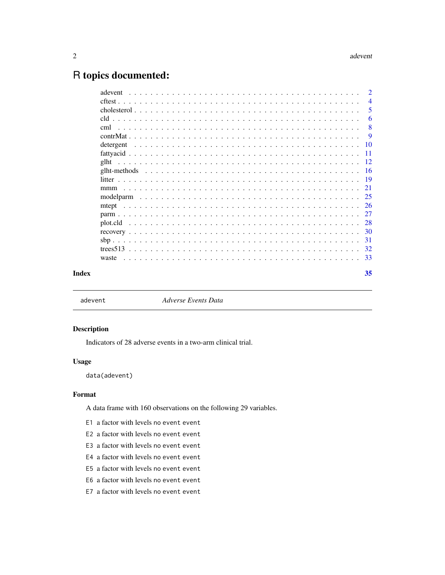# <span id="page-1-0"></span>R topics documented:

|       |           | $\overline{2}$ |
|-------|-----------|----------------|
|       |           | $\overline{4}$ |
|       |           | 5              |
|       |           | 6              |
|       |           | 8              |
|       |           | -9             |
|       | detergent |                |
|       |           |                |
|       |           |                |
|       |           |                |
|       |           |                |
|       | mmm       |                |
|       |           |                |
|       |           |                |
|       |           |                |
|       |           |                |
|       |           |                |
|       |           |                |
|       |           |                |
|       | waste     |                |
| Index |           | 35             |
|       |           |                |

adevent *Adverse Events Data*

# Description

Indicators of 28 adverse events in a two-arm clinical trial.

#### Usage

data(adevent)

# Format

A data frame with 160 observations on the following 29 variables.

- E1 a factor with levels no event event
- E2 a factor with levels no event event
- E3 a factor with levels no event event
- E4 a factor with levels no event event
- E5 a factor with levels no event event
- E6 a factor with levels no event event
- E7 a factor with levels no event event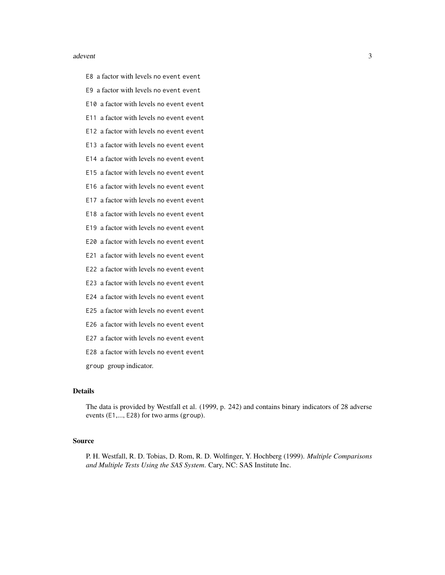#### adevent 3

E8 a factor with levels no event event

- E9 a factor with levels no event event
- E10 a factor with levels no event event
- E11 a factor with levels no event event
- E12 a factor with levels no event event
- E13 a factor with levels no event event
- E14 a factor with levels no event event
- E15 a factor with levels no event event
- E16 a factor with levels no event event
- E17 a factor with levels no event event
- E18 a factor with levels no event event
- E19 a factor with levels no event event
- E20 a factor with levels no event event
- E21 a factor with levels no event event
- E22 a factor with levels no event event
- E23 a factor with levels no event event
- E24 a factor with levels no event event
- E25 a factor with levels no event event
- E26 a factor with levels no event event
- E27 a factor with levels no event event
- E28 a factor with levels no event event
- group group indicator.

# Details

The data is provided by Westfall et al. (1999, p. 242) and contains binary indicators of 28 adverse events (E1,..., E28) for two arms (group).

#### Source

P. H. Westfall, R. D. Tobias, D. Rom, R. D. Wolfinger, Y. Hochberg (1999). *Multiple Comparisons and Multiple Tests Using the SAS System*. Cary, NC: SAS Institute Inc.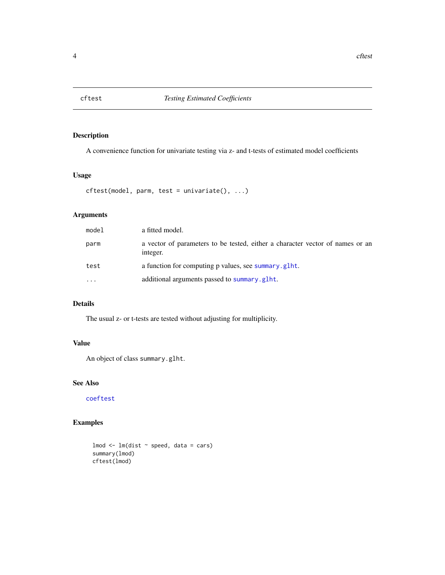<span id="page-3-0"></span>

A convenience function for univariate testing via z- and t-tests of estimated model coefficients

# Usage

```
cftest(model, parm, test = univariate(), ...)
```
# Arguments

| model     | a fitted model.                                                                           |
|-----------|-------------------------------------------------------------------------------------------|
| parm      | a vector of parameters to be tested, either a character vector of names or an<br>integer. |
| test      | a function for computing p values, see summary .glht.                                     |
| $\ddotsc$ | additional arguments passed to summary.glht.                                              |

# Details

The usual z- or t-tests are tested without adjusting for multiplicity.

# Value

An object of class summary.glht.

# See Also

[coeftest](#page-0-0)

```
lmod < - lm(dist ~ p^seed, data = cars)summary(lmod)
cftest(lmod)
```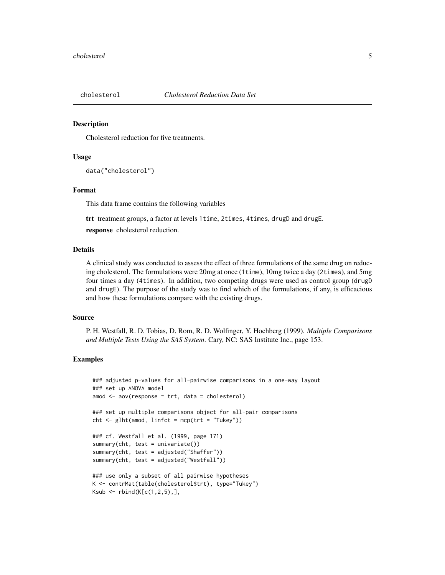<span id="page-4-0"></span>

Cholesterol reduction for five treatments.

#### Usage

```
data("cholesterol")
```
#### Format

This data frame contains the following variables

trt treatment groups, a factor at levels 1time, 2times, 4times, drugD and drugE.

response cholesterol reduction.

#### Details

A clinical study was conducted to assess the effect of three formulations of the same drug on reducing cholesterol. The formulations were 20mg at once (1time), 10mg twice a day (2times), and 5mg four times a day (4times). In addition, two competing drugs were used as control group (drugD and drugE). The purpose of the study was to find which of the formulations, if any, is efficacious and how these formulations compare with the existing drugs.

#### Source

P. H. Westfall, R. D. Tobias, D. Rom, R. D. Wolfinger, Y. Hochberg (1999). *Multiple Comparisons and Multiple Tests Using the SAS System*. Cary, NC: SAS Institute Inc., page 153.

```
### adjusted p-values for all-pairwise comparisons in a one-way layout
### set up ANOVA model
amod \leq aov(response \sim trt, data = cholesterol)
### set up multiple comparisons object for all-pair comparisons
cht < - glht(amod, linfct = mcp(trt = "Tukey"))### cf. Westfall et al. (1999, page 171)
summary(cht, test = univariate())summary(cht, test = adjusted("Shaffer"))
summary(cht, test = adjusted("Westfall"))
### use only a subset of all pairwise hypotheses
K <- contrMat(table(cholesterol$trt), type="Tukey")
Ksub < -rbind(K[c(1, 2, 5),],
```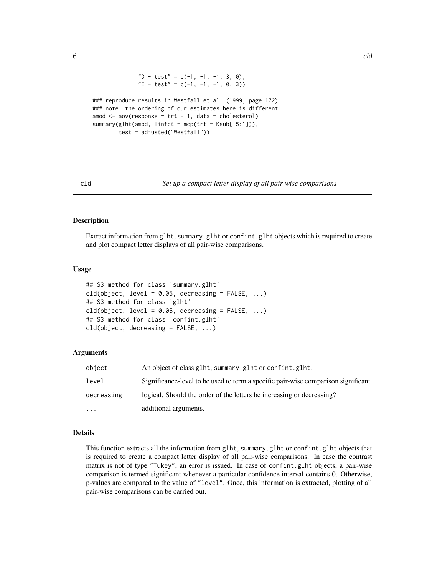```
"D - test" = c(-1, -1, -1, 3, 0),
              "E - test" = c(-1, -1, -1, 0, 3))### reproduce results in Westfall et al. (1999, page 172)
### note: the ordering of our estimates here is different
amod \leq aov(response \sim trt - 1, data = cholesterol)
summary(glht(amod, linfct = mcp(trt = Ksub[,5:1])),
        test = adjusted("Westfall"))
```
<span id="page-5-2"></span>

```
cld Set up a compact letter display of all pair-wise comparisons
```
Extract information from glht, summary.glht or confint.glht objects which is required to create and plot compact letter displays of all pair-wise comparisons.

#### Usage

```
## S3 method for class 'summary.glht'
cld(object, level = 0.05, decreasing = FALSE, ...)## S3 method for class 'glht'
cld(object, level = 0.05, decreasing = FALSE, ...)## S3 method for class 'confint.glht'
cld(object, decreasing = FALSE, ...)
```
#### Arguments

| object     | An object of class glht, summary.glht or confint.glht.                             |
|------------|------------------------------------------------------------------------------------|
| level      | Significance-level to be used to term a specific pair-wise comparison significant. |
| decreasing | logical. Should the order of the letters be increasing or decreasing?              |
| $\cdots$   | additional arguments.                                                              |

#### Details

This function extracts all the information from glht, summary.glht or confint.glht objects that is required to create a compact letter display of all pair-wise comparisons. In case the contrast matrix is not of type "Tukey", an error is issued. In case of confint.glht objects, a pair-wise comparison is termed significant whenever a particular confidence interval contains 0. Otherwise, p-values are compared to the value of "level". Once, this information is extracted, plotting of all pair-wise comparisons can be carried out.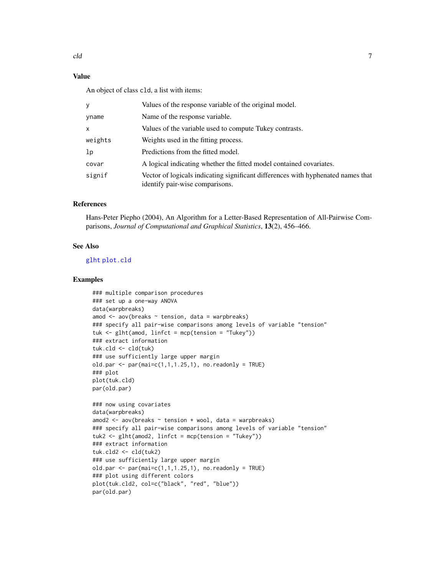# <span id="page-6-0"></span>Value

An object of class cld, a list with items:

|         | Values of the response variable of the original model.                                                              |
|---------|---------------------------------------------------------------------------------------------------------------------|
| yname   | Name of the response variable.                                                                                      |
| X.      | Values of the variable used to compute Tukey contrasts.                                                             |
| weights | Weights used in the fitting process.                                                                                |
| lp      | Predictions from the fitted model.                                                                                  |
| covar   | A logical indicating whether the fitted model contained covariates.                                                 |
| signif  | Vector of logicals indicating significant differences with hyphenated names that<br>identify pair-wise comparisons. |

# References

Hans-Peter Piepho (2004), An Algorithm for a Letter-Based Representation of All-Pairwise Comparisons, *Journal of Computational and Graphical Statistics*, 13(2), 456–466.

# See Also

# [glht](#page-11-1) [plot.cld](#page-27-1)

```
### multiple comparison procedures
### set up a one-way ANOVA
data(warpbreaks)
amod \leq aov(breaks \sim tension, data = warpbreaks)
### specify all pair-wise comparisons among levels of variable "tension"
tuk <- glht(amod, linfct = mcp(tension = "Tukey"))
### extract information
tuk.cld <- cld(tuk)
### use sufficiently large upper margin
old.par \leq par(mai=c(1,1,1.25,1), no.readonly = TRUE)
### plot
plot(tuk.cld)
par(old.par)
### now using covariates
data(warpbreaks)
amod2 <- aov(breaks ~ tension + wool, data = warpbreaks)
### specify all pair-wise comparisons among levels of variable "tension"
tuk2 <- glht(amod2, linfct = mcp(tension = "Tukey"))
### extract information
tuk.cld2 <- cld(tuk2)
### use sufficiently large upper margin
old.par \leq par(mai=c(1,1,1.25,1), no.readonly = TRUE)
### plot using different colors
plot(tuk.cld2, col=c("black", "red", "blue"))
par(old.par)
```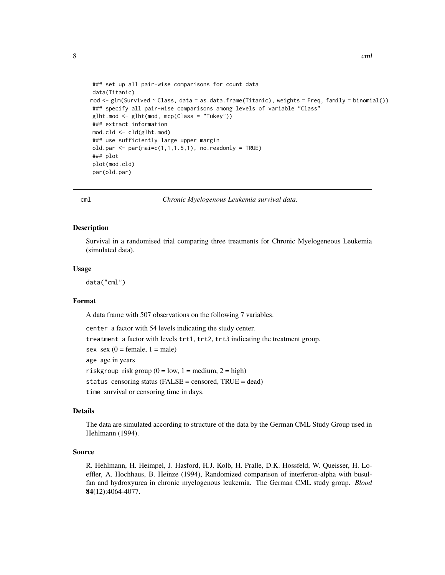```
### set up all pair-wise comparisons for count data
data(Titanic)
mod <- glm(Survived ~ Class, data = as.data.frame(Titanic), weights = Freq, family = binomial())
### specify all pair-wise comparisons among levels of variable "Class"
glht.mod <- glht(mod, mcp(Class = "Tukey"))
### extract information
mod.cld <- cld(glht.mod)
### use sufficiently large upper margin
old.par \leq par(mai=c(1,1,1.5,1), no.readonly = TRUE)
### plot
plot(mod.cld)
par(old.par)
```
cml *Chronic Myelogenous Leukemia survival data.*

#### Description

Survival in a randomised trial comparing three treatments for Chronic Myelogeneous Leukemia (simulated data).

#### Usage

data("cml")

#### Format

A data frame with 507 observations on the following 7 variables.

center a factor with 54 levels indicating the study center.

treatment a factor with levels trt1, trt2, trt3 indicating the treatment group.

sex sex  $(0 = \text{female}, 1 = \text{male})$ 

age age in years

riskgroup risk group  $(0 = low, 1 = medium, 2 = high)$ 

status censoring status (FALSE = censored, TRUE = dead)

time survival or censoring time in days.

# Details

The data are simulated according to structure of the data by the German CML Study Group used in Hehlmann (1994).

#### Source

R. Hehlmann, H. Heimpel, J. Hasford, H.J. Kolb, H. Pralle, D.K. Hossfeld, W. Queisser, H. Loeffler, A. Hochhaus, B. Heinze (1994), Randomized comparison of interferon-alpha with busulfan and hydroxyurea in chronic myelogenous leukemia. The German CML study group. *Blood* 84(12):4064-4077.

<span id="page-7-0"></span>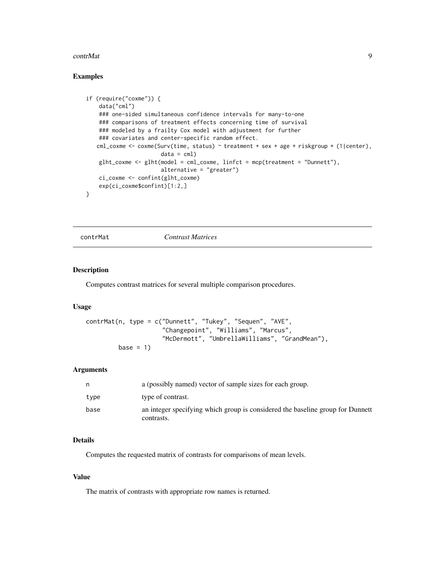#### <span id="page-8-0"></span>contrMat 9

# Examples

```
if (require("coxme")) {
   data("cml")
   ### one-sided simultaneous confidence intervals for many-to-one
   ### comparisons of treatment effects concerning time of survival
   ### modeled by a frailty Cox model with adjustment for further
    ### covariates and center-specific random effect.
   cml_coxme <- coxme(Surv(time, status) ~ treatment + sex + age + riskgroup + (1|center),
                       data = cm1)glht_coxme <- glht(model = cml_coxme, linfct = mcp(treatment = "Dunnett"),
                       alternative = "greater")
    ci_coxme <- confint(glht_coxme)
   exp(ci_coxme$confint)[1:2,]
}
```
<span id="page-8-1"></span>contrMat *Contrast Matrices*

# Description

Computes contrast matrices for several multiple comparison procedures.

## Usage

```
contrMat(n, type = c("Dunnett", "Tukey", "Sequen", "AVE",
                     "Changepoint", "Williams", "Marcus",
                     "McDermott", "UmbrellaWilliams", "GrandMean"),
         base = 1)
```
#### Arguments

| n    | a (possibly named) vector of sample sizes for each group.                                    |
|------|----------------------------------------------------------------------------------------------|
| type | type of contrast.                                                                            |
| base | an integer specifying which group is considered the baseline group for Dunnett<br>contrasts. |

#### Details

Computes the requested matrix of contrasts for comparisons of mean levels.

#### Value

The matrix of contrasts with appropriate row names is returned.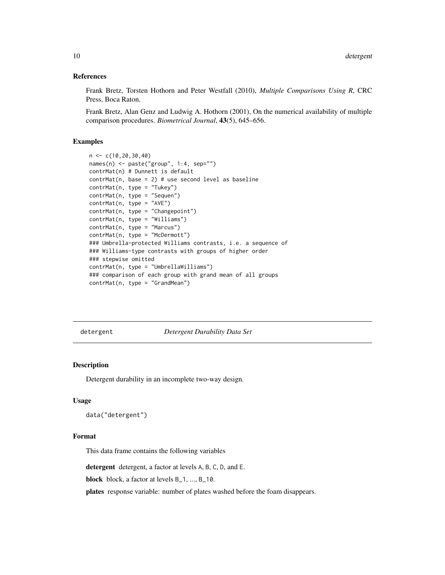#### <span id="page-9-0"></span>References

Frank Bretz, Torsten Hothorn and Peter Westfall (2010), *Multiple Comparisons Using R*, CRC Press, Boca Raton.

Frank Bretz, Alan Genz and Ludwig A. Hothorn (2001), On the numerical availability of multiple comparison procedures. *Biometrical Journal*, 43(5), 645–656.

# Examples

```
n <- c(10,20,30,40)
names(n) <- paste("group", 1:4, sep="")
contrMat(n) # Dunnett is default
contrMat(n, base = 2) # use second level as baseline
contrMat(n, type = "Tukey")
contrMat(n, type = "Sequen")
contrMat(n, type = "AVE")
contrMat(n, type = "Changepoint")
contrMat(n, type = "Williams")
contrMat(n, type = "Marcus")
contrMat(n, type = "McDermott")
### Umbrella-protected Williams contrasts, i.e. a sequence of
### Williams-type contrasts with groups of higher order
### stepwise omitted
contrMat(n, type = "UmbrellaWilliams")
### comparison of each group with grand mean of all groups
contrMat(n, type = "GrandMean")
```
detergent *Detergent Durability Data Set*

# Description

Detergent durability in an incomplete two-way design.

#### Usage

data("detergent")

#### Format

This data frame contains the following variables

detergent detergent, a factor at levels A, B, C, D, and E.

block block, a factor at levels B\_1, ..., B\_10.

plates response variable: number of plates washed before the foam disappears.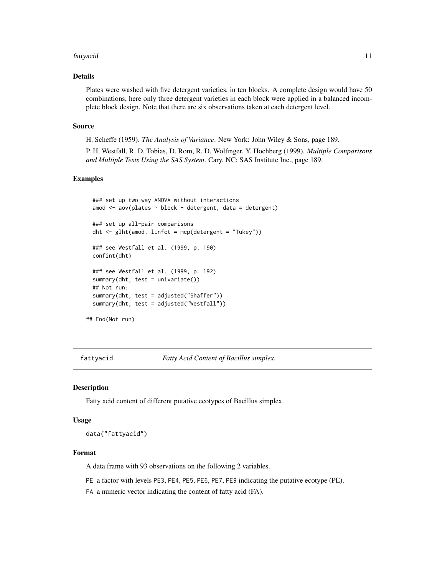#### <span id="page-10-0"></span>fattyacid 11

# Details

Plates were washed with five detergent varieties, in ten blocks. A complete design would have 50 combinations, here only three detergent varieties in each block were applied in a balanced incomplete block design. Note that there are six observations taken at each detergent level.

#### Source

H. Scheffe (1959). *The Analysis of Variance*. New York: John Wiley & Sons, page 189.

P. H. Westfall, R. D. Tobias, D. Rom, R. D. Wolfinger, Y. Hochberg (1999). *Multiple Comparisons and Multiple Tests Using the SAS System*. Cary, NC: SAS Institute Inc., page 189.

# Examples

```
### set up two-way ANOVA without interactions
 amod <- aov(plates ~ block + detergent, data = detergent)
 ### set up all-pair comparisons
 dht <- glht(amod, linfct = mcp(detergent = "Tukey"))
 ### see Westfall et al. (1999, p. 190)
 confint(dht)
 ### see Westfall et al. (1999, p. 192)
 summary(dht, test = univariate())
 ## Not run:
 summary(dht, test = adjusted("Shaffer"))
 summary(dht, test = adjusted("Westfall"))
## End(Not run)
```
fattyacid *Fatty Acid Content of Bacillus simplex.*

# Description

Fatty acid content of different putative ecotypes of Bacillus simplex.

#### Usage

data("fattyacid")

#### Format

A data frame with 93 observations on the following 2 variables.

PE a factor with levels PE3, PE4, PE5, PE6, PE7, PE9 indicating the putative ecotype (PE).

FA a numeric vector indicating the content of fatty acid (FA).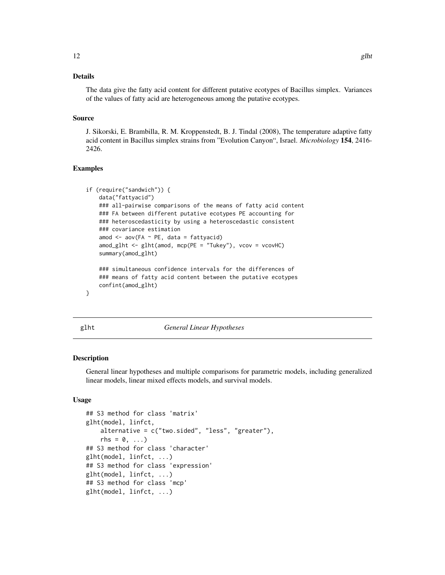# <span id="page-11-0"></span>Details

The data give the fatty acid content for different putative ecotypes of Bacillus simplex. Variances of the values of fatty acid are heterogeneous among the putative ecotypes.

#### Source

J. Sikorski, E. Brambilla, R. M. Kroppenstedt, B. J. Tindal (2008), The temperature adaptive fatty acid content in Bacillus simplex strains from "Evolution Canyon", Israel. *Microbiology* 154, 2416- 2426.

# Examples

```
if (require("sandwich")) {
   data("fattyacid")
   ### all-pairwise comparisons of the means of fatty acid content
   ### FA between different putative ecotypes PE accounting for
   ### heteroscedasticity by using a heteroscedastic consistent
   ### covariance estimation
   amod \leq aov(FA \sim PE, data = fattyacid)
   amod_glht <- glht(amod, mcp(PE = "Tukey"), vcov = vcovHC)
   summary(amod_glht)
   ### simultaneous confidence intervals for the differences of
   ### means of fatty acid content between the putative ecotypes
   confint(amod_glht)
```
<span id="page-11-1"></span>

}

glht *General Linear Hypotheses*

# <span id="page-11-2"></span>Description

General linear hypotheses and multiple comparisons for parametric models, including generalized linear models, linear mixed effects models, and survival models.

# Usage

```
## S3 method for class 'matrix'
glht(model, linfct,
    alternative = c("two.sided", "less", "greater"),
    rhs = 0, \ldots)
## S3 method for class 'character'
glht(model, linfct, ...)
## S3 method for class 'expression'
glht(model, linfct, ...)
## S3 method for class 'mcp'
glht(model, linfct, ...)
```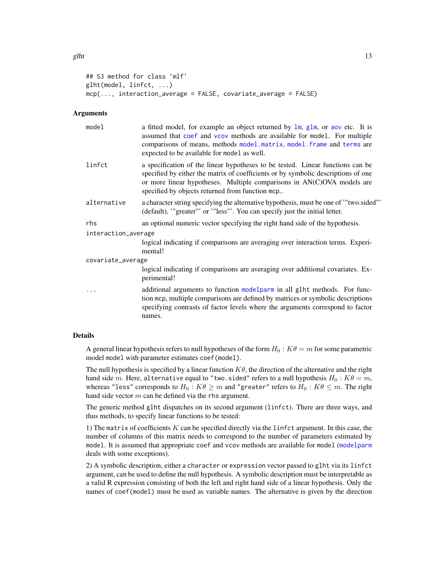```
## S3 method for class 'mlf'
glht(model, linfct, ...)
mcp(..., interaction_average = FALSE, covariate_average = FALSE)
```
# Arguments

| model               | a fitted model, for example an object returned by $\text{lm}$ , $\text{glm}$ , or aov etc. It is<br>assumed that coef and vcov methods are available for model. For multiple<br>comparisons of means, methods model.matrix, model.frame and terms are<br>expected to be available for model as well. |
|---------------------|------------------------------------------------------------------------------------------------------------------------------------------------------------------------------------------------------------------------------------------------------------------------------------------------------|
| linfct              | a specification of the linear hypotheses to be tested. Linear functions can be<br>specified by either the matrix of coefficients or by symbolic descriptions of one<br>or more linear hypotheses. Multiple comparisons in AN(C)OVA models are<br>specified by objects returned from function mcp     |
| alternative         | a character string specifying the alternative hypothesis, must be one of "two.sided"<br>(default), "greater" or '"less"'. You can specify just the initial letter.                                                                                                                                   |
| rhs                 | an optional numeric vector specifying the right hand side of the hypothesis.                                                                                                                                                                                                                         |
| interaction_average |                                                                                                                                                                                                                                                                                                      |
|                     | logical indicating if comparisons are averaging over interaction terms. Experi-<br>mental!                                                                                                                                                                                                           |
| covariate_average   |                                                                                                                                                                                                                                                                                                      |
|                     | logical indicating if comparisons are averaging over additional covariates. Ex-<br>perimental!                                                                                                                                                                                                       |
|                     | additional arguments to function modelparm in all glht methods. For func-<br>tion mcp, multiple comparisons are defined by matrices or symbolic descriptions<br>specifying contrasts of factor levels where the arguments correspond to factor<br>names.                                             |

#### Details

A general linear hypothesis refers to null hypotheses of the form  $H_0 : K \theta = m$  for some parametric model model with parameter estimates coef(model).

The null hypothesis is specified by a linear function  $K\theta$ , the direction of the alternative and the right hand side m. Here, alternative equal to "two.sided" refers to a null hypothesis  $H_0$ :  $K\theta = m$ , whereas "less" corresponds to  $H_0: K\theta \geq m$  and "greater" refers to  $H_0: K\theta \leq m$ . The right hand side vector  $m$  can be defined via the rhs argument.

The generic method glht dispatches on its second argument (linfct). There are three ways, and thus methods, to specify linear functions to be tested:

1) The matrix of coefficients  $K$  can be specified directly via the linfct argument. In this case, the number of columns of this matrix needs to correspond to the number of parameters estimated by model. It is assumed that appropriate coef and vcov methods are available for model ([modelparm](#page-24-1) deals with some exceptions).

2) A symbolic description, either a character or expression vector passed to glht via its linfct argument, can be used to define the null hypothesis. A symbolic description must be interpretable as a valid R expression consisting of both the left and right hand side of a linear hypothesis. Only the names of coef(model) must be used as variable names. The alternative is given by the direction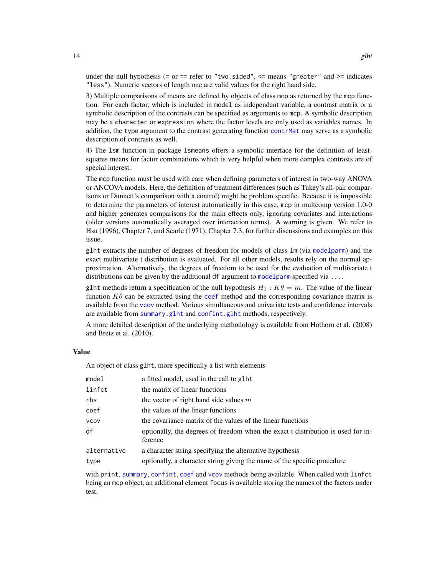under the null hypothesis (= or == refer to "two.sided",  $\le$  means "greater" and  $\ge$  indicates "less"). Numeric vectors of length one are valid values for the right hand side.

3) Multiple comparisons of means are defined by objects of class mcp as returned by the mcp function. For each factor, which is included in model as independent variable, a contrast matrix or a symbolic description of the contrasts can be specified as arguments to mcp. A symbolic description may be a character or expression where the factor levels are only used as variables names. In addition, the type argument to the contrast generating function [contrMat](#page-8-1) may serve as a symbolic description of contrasts as well.

4) The lsm function in package lsmeans offers a symbolic interface for the definition of leastsquares means for factor combinations which is very helpful when more complex contrasts are of special interest.

The mcp function must be used with care when defining parameters of interest in two-way ANOVA or ANCOVA models. Here, the definition of treatment differences (such as Tukey's all-pair comparisons or Dunnett's comparison with a control) might be problem specific. Because it is impossible to determine the parameters of interest automatically in this case, mcp in multcomp version 1.0-0 and higher generates comparisons for the main effects only, ignoring covariates and interactions (older versions automatically averaged over interaction terms). A warning is given. We refer to Hsu (1996), Chapter 7, and Searle (1971), Chapter 7.3, for further discussions and examples on this issue.

glht extracts the number of degrees of freedom for models of class lm (via [modelparm](#page-24-1)) and the exact multivariate t distribution is evaluated. For all other models, results rely on the normal approximation. Alternatively, the degrees of freedom to be used for the evaluation of multivariate t distributions can be given by the additional df argument to [modelparm](#page-24-1) specified via ...

glht methods return a specification of the null hypothesis  $H_0 : K\theta = m$ . The value of the linear function  $K\theta$  can be extracted using the [coef](#page-0-0) method and the corresponding covariance matrix is available from the [vcov](#page-0-0) method. Various simultaneous and univariate tests and confidence intervals are available from [summary.glht](#page-15-1) and [confint.glht](#page-15-1) methods, respectively.

A more detailed description of the underlying methodology is available from Hothorn et al. (2008) and Bretz et al. (2010).

#### Value

An object of class glht, more specifically a list with elements

| model       | a fitted model, used in the call to glht                                                    |
|-------------|---------------------------------------------------------------------------------------------|
| linfct      | the matrix of linear functions                                                              |
| rhs         | the vector of right hand side values $m$                                                    |
| coef        | the values of the linear functions                                                          |
| <b>VCOV</b> | the covariance matrix of the values of the linear functions                                 |
| df          | optionally, the degrees of freedom when the exact t distribution is used for in-<br>ference |
| alternative | a character string specifying the alternative hypothesis                                    |
| type        | optionally, a character string giving the name of the specific procedure                    |

with print, [summary](#page-0-0), [confint](#page-0-0), [coef](#page-0-0) and [vcov](#page-0-0) methods being available. When called with linfct being an mcp object, an additional element focus is available storing the names of the factors under test.

<span id="page-13-0"></span>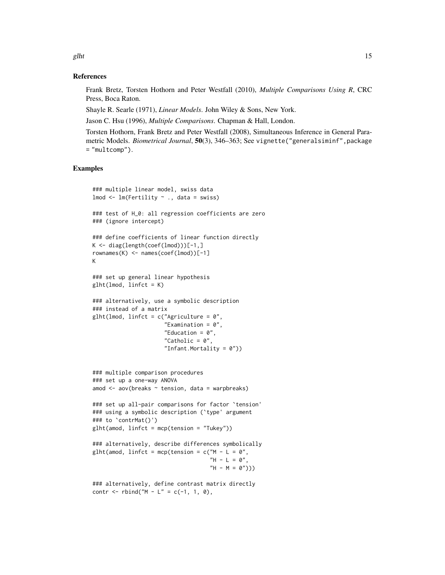References

Frank Bretz, Torsten Hothorn and Peter Westfall (2010), *Multiple Comparisons Using R*, CRC Press, Boca Raton.

Shayle R. Searle (1971), *Linear Models*. John Wiley & Sons, New York.

Jason C. Hsu (1996), *Multiple Comparisons*. Chapman & Hall, London.

Torsten Hothorn, Frank Bretz and Peter Westfall (2008), Simultaneous Inference in General Parametric Models. *Biometrical Journal*, 50(3), 346–363; See vignette("generalsiminf",package = "multcomp").

```
### multiple linear model, swiss data
lmod \leftarrow lm(Fertility \sim ., data = swiss)### test of H_0: all regression coefficients are zero
### (ignore intercept)
### define coefficients of linear function directly
K \leq - diag(length(coef(lmod)))[-1,]
rownames(K) \leq names(coef(lmod))[-1]
K
### set up general linear hypothesis
g1ht(1mod, 1infct = K)### alternatively, use a symbolic description
### instead of a matrix
glht(lmod, linfct = c("Agriculture = 0","Examination = 0",
                      "Education = 0",
                      "Catholic = 0",
                      "Infant.Mortality = 0"))
### multiple comparison procedures
### set up a one-way ANOVA
amod <- aov(breaks ~ tension, data = warpbreaks)
### set up all-pair comparisons for factor `tension'
### using a symbolic description (`type' argument
### to `contrMat()')
glht(amod, linfct = mcp(tension = "Tukey"))
### alternatively, describe differences symbolically
glht(amod, linfct = mcp(tension = c("M - L = 0",H - L = 0",
                                     "H - M = 0")))
### alternatively, define contrast matrix directly
contr <- rbind("M - L" = c(-1, 1, 0),
```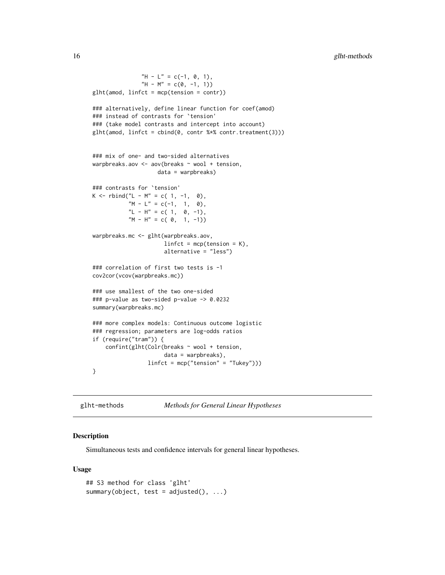```
"H - L" = c(-1, 0, 1),
               "H - M'' = c(0, -1, 1))
glht(amod, linfct = mcp(tension = contr))
### alternatively, define linear function for coef(amod)
### instead of contrasts for `tension'
### (take model contrasts and intercept into account)
glht(amod, linfct = cbind(0, contr %*% contr.treatment(3)))
### mix of one- and two-sided alternatives
warpbreaks.aov <- aov(breaks ~ wool + tension,
                    data = warpbreaks)
### contrasts for `tension'
K \le - rbind("L - M" = c( 1, -1, 0),
           M - L'' = c(-1, 1, 0),"L - H" = c(1, 0, -1),
           M - H'' = c(0, 1, -1)warpbreaks.mc <- glht(warpbreaks.aov,
                      linfct = mcp(tension = K),alternative = "less")
### correlation of first two tests is -1
cov2cor(vcov(warpbreaks.mc))
### use smallest of the two one-sided
### p-value as two-sided p-value -> 0.0232
summary(warpbreaks.mc)
### more complex models: Continuous outcome logistic
### regression; parameters are log-odds ratios
if (require("tram")) {
    confint(glht(Colr(breaks ~ wool + tension,
                      data = warpbreaks),
                 linfct = mcp("tension" = "Tukey"))}
```
glht-methods *Methods for General Linear Hypotheses*

# <span id="page-15-1"></span>Description

Simultaneous tests and confidence intervals for general linear hypotheses.

#### Usage

```
## S3 method for class 'glht'
summary(object, test = adjusted(), \ldots)
```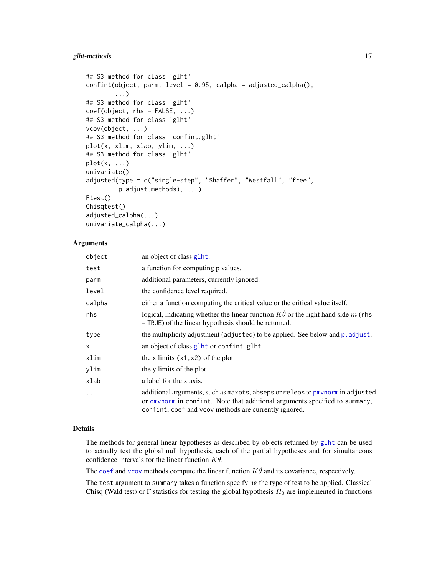```
## S3 method for class 'glht'
confint(object, parm, level = 0.95, calpha = adjusted_calpha(),...)
## S3 method for class 'glht'
coef(object, rhs = FALSE, ...)
## S3 method for class 'glht'
vcov(object, ...)
## S3 method for class 'confint.glht'
plot(x, xlim, xlab, ylim, ...)
## S3 method for class 'glht'
plot(x, ...)
univariate()
adjusted(type = c("single-step", "Shaffer", "Westfall", "free",
         p.adjust.methods), ...)
Ftest()
Chisqtest()
adjusted_calpha(...)
univariate_calpha(...)
```
# Arguments

| object   | an object of class glht.                                                                                                                                                                                              |
|----------|-----------------------------------------------------------------------------------------------------------------------------------------------------------------------------------------------------------------------|
| test     | a function for computing p values.                                                                                                                                                                                    |
| parm     | additional parameters, currently ignored.                                                                                                                                                                             |
| level    | the confidence level required.                                                                                                                                                                                        |
| calpha   | either a function computing the critical value or the critical value itself.                                                                                                                                          |
| rhs      | logical, indicating whether the linear function $K\hat{\theta}$ or the right hand side m (rhs<br>$=$ TRUE) of the linear hypothesis should be returned.                                                               |
| type     | the multiplicity adjustment (adjusted) to be applied. See below and p. adjust.                                                                                                                                        |
| X.       | an object of class glht or confint.glht.                                                                                                                                                                              |
| xlim     | the x limits $(x1, x2)$ of the plot.                                                                                                                                                                                  |
| ylim     | the y limits of the plot.                                                                                                                                                                                             |
| xlab     | a label for the x axis.                                                                                                                                                                                               |
| $\ddots$ | additional arguments, such as maxpts, abseps or releps to pmynorm in adjusted<br>or qmvnorm in confint. Note that additional arguments specified to summary,<br>confint, coef and vcov methods are currently ignored. |

#### Details

The methods for general linear hypotheses as described by objects returned by [glht](#page-11-1) can be used to actually test the global null hypothesis, each of the partial hypotheses and for simultaneous confidence intervals for the linear function  $K\theta$ .

The [coef](#page-0-0) and [vcov](#page-0-0) methods compute the linear function  $K \hat{\theta}$  and its covariance, respectively.

The test argument to summary takes a function specifying the type of test to be applied. Classical Chisq (Wald test) or F statistics for testing the global hypothesis  $H_0$  are implemented in functions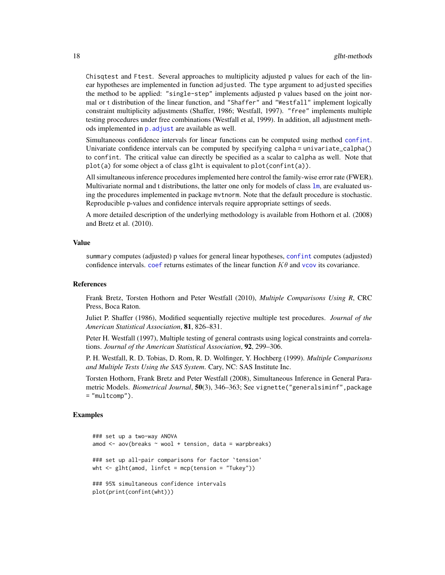Chisqtest and Ftest. Several approaches to multiplicity adjusted p values for each of the linear hypotheses are implemented in function adjusted. The type argument to adjusted specifies the method to be applied: "single-step" implements adjusted p values based on the joint normal or t distribution of the linear function, and "Shaffer" and "Westfall" implement logically constraint multiplicity adjustments (Shaffer, 1986; Westfall, 1997). "free" implements multiple testing procedures under free combinations (Westfall et al, 1999). In addition, all adjustment methods implemented in  $p$ . adjust are available as well.

Simultaneous confidence intervals for linear functions can be computed using method [confint](#page-0-0). Univariate confidence intervals can be computed by specifying calpha = univariate\_calpha() to confint. The critical value can directly be specified as a scalar to calpha as well. Note that plot(a) for some object a of class glht is equivalent to plot(confint(a)).

All simultaneous inference procedures implemented here control the family-wise error rate (FWER). Multivariate normal and t distributions, the latter one only for models of class 1m, are evaluated using the procedures implemented in package mvtnorm. Note that the default procedure is stochastic. Reproducible p-values and confidence intervals require appropriate settings of seeds.

A more detailed description of the underlying methodology is available from Hothorn et al. (2008) and Bretz et al. (2010).

#### Value

summary computes (adjusted) p values for general linear hypotheses, [confint](#page-0-0) computes (adjusted) confidence intervals, [coef](#page-0-0) returns estimates of the linear function  $K\theta$  and [vcov](#page-0-0) its covariance.

#### References

Frank Bretz, Torsten Hothorn and Peter Westfall (2010), *Multiple Comparisons Using R*, CRC Press, Boca Raton.

Juliet P. Shaffer (1986), Modified sequentially rejective multiple test procedures. *Journal of the American Statistical Association*, 81, 826–831.

Peter H. Westfall (1997), Multiple testing of general contrasts using logical constraints and correlations. *Journal of the American Statistical Association*, 92, 299–306.

P. H. Westfall, R. D. Tobias, D. Rom, R. D. Wolfinger, Y. Hochberg (1999). *Multiple Comparisons and Multiple Tests Using the SAS System*. Cary, NC: SAS Institute Inc.

Torsten Hothorn, Frank Bretz and Peter Westfall (2008), Simultaneous Inference in General Parametric Models. *Biometrical Journal*, 50(3), 346–363; See vignette("generalsiminf",package = "multcomp").

```
### set up a two-way ANOVA
amod \leq aov(breaks \sim wool + tension, data = warpbreaks)
### set up all-pair comparisons for factor `tension'
wht \leq glht(amod, linfct = mcp(tension = "Tukey"))
### 95% simultaneous confidence intervals
plot(print(confint(wht)))
```
<span id="page-17-0"></span>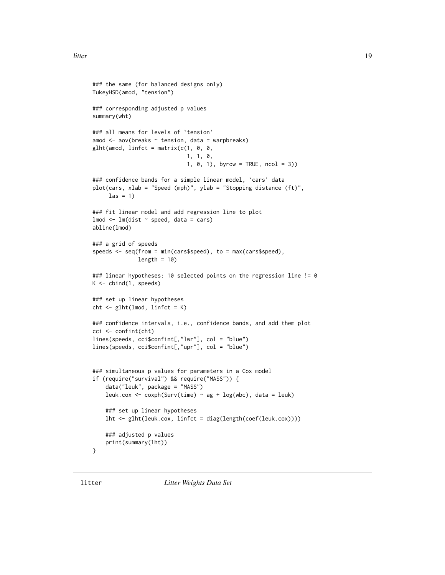```
### the same (for balanced designs only)
TukeyHSD(amod, "tension")
### corresponding adjusted p values
summary(wht)
### all means for levels of `tension'
amod \leq aov(breaks \sim tension, data = warpbreaks)
glht(amod, linfct = matrix(c(1, 0, 0,
                              1, 1, 0,
                              1, 0, 1), byrow = TRUE, ncol = 3))
### confidence bands for a simple linear model, `cars' data
plot(cars, xlab = "Speed (mph)", ylab = "Stopping distance (ft)",
     \text{las} = 1)### fit linear model and add regression line to plot
lmod < - lm(dist ~ p^seed, data = cars)abline(lmod)
### a grid of speeds
speeds <- seq(from = min(cars$speed), to = max(cars$speed),
              length = 10### linear hypotheses: 10 selected points on the regression line != 0
K \le - \text{cbind}(1, \text{ speeds})### set up linear hypotheses
cht <- glht(lmod, linfct = K)
### confidence intervals, i.e., confidence bands, and add them plot
cci <- confint(cht)
lines(speeds, cci$confint[,"lwr"], col = "blue")
lines(speeds, cci$confint[,"upr"], col = "blue")
### simultaneous p values for parameters in a Cox model
if (require("survival") && require("MASS")) {
    data("leuk", package = "MASS")
    leuk.cox <- coxph(Surv(time) ~ ag + log(wbc), data = leuk)
    ### set up linear hypotheses
    lht <- glht(leuk.cox, linfct = diag(length(coef(leuk.cox))))
    ### adjusted p values
    print(summary(lht))
}
```
litter *Litter Weights Data Set*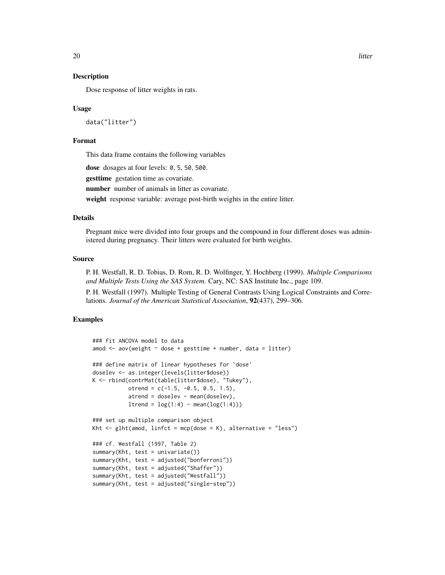<span id="page-19-0"></span>Dose response of litter weights in rats.

#### Usage

data("litter")

# Format

This data frame contains the following variables

dose dosages at four levels: 0, 5, 50, 500.

gesttime gestation time as covariate.

number number of animals in litter as covariate.

weight response variable: average post-birth weights in the entire litter.

# Details

Pregnant mice were divided into four groups and the compound in four different doses was administered during pregnancy. Their litters were evaluated for birth weights.

# Source

P. H. Westfall, R. D. Tobias, D. Rom, R. D. Wolfinger, Y. Hochberg (1999). *Multiple Comparisons and Multiple Tests Using the SAS System*. Cary, NC: SAS Institute Inc., page 109.

P. H. Westfall (1997). Multiple Testing of General Contrasts Using Logical Constraints and Correlations. *Journal of the American Statistical Association*, 92(437), 299–306.

```
### fit ANCOVA model to data
amod \leq aov(weight \sim dose + gesttime + number, data = litter)
### define matrix of linear hypotheses for `dose'
doselev <- as.integer(levels(litter$dose))
K <- rbind(contrMat(table(litter$dose), "Tukey"),
           otrend = c(-1.5, -0.5, 0.5, 1.5),
           atrend = doselev - mean(doselev),
           ltrend = log(1:4) - mean(log(1:4))### set up multiple comparison object
Kht \leq glht(amod, linfct = mcp(dose = K), alternative = "less")
### cf. Westfall (1997, Table 2)
summary(Kht, test = univariate())
summary(Kht, test = adjusted("bonferroni"))
summary(Kht, test = adjusted("Shaffer"))
summary(Kht, test = adjusted("Westfall"))
summary(Kht, test = adjusted("single-step"))
```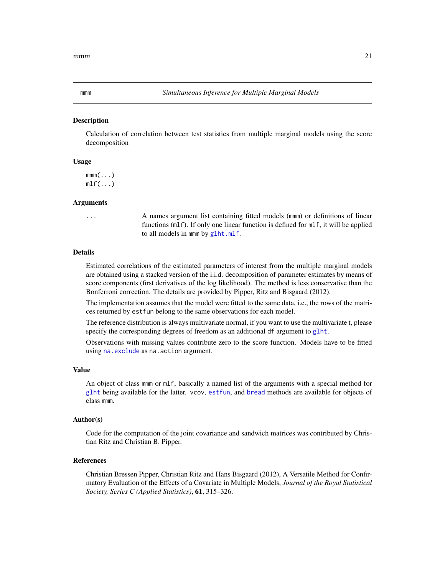<span id="page-20-0"></span>

Calculation of correlation between test statistics from multiple marginal models using the score decomposition

# Usage

 $mm($ ... $)$  $mlf(\ldots)$ 

#### Arguments

... A names argument list containing fitted models (mmm) or definitions of linear functions (mlf). If only one linear function is defined for mlf, it will be applied to all models in mmm by [glht.mlf](#page-11-2).

# Details

Estimated correlations of the estimated parameters of interest from the multiple marginal models are obtained using a stacked version of the i.i.d. decomposition of parameter estimates by means of score components (first derivatives of the log likelihood). The method is less conservative than the Bonferroni correction. The details are provided by Pipper, Ritz and Bisgaard (2012).

The implementation assumes that the model were fitted to the same data, i.e., the rows of the matrices returned by estfun belong to the same observations for each model.

The reference distribution is always multivariate normal, if you want to use the multivariate t, please specify the corresponding degrees of freedom as an additional df argument to [glht](#page-11-1).

Observations with missing values contribute zero to the score function. Models have to be fitted using [na.exclude](#page-0-0) as na.action argument.

#### Value

An object of class mmm or mlf, basically a named list of the arguments with a special method for [glht](#page-11-1) being available for the latter. vcov, [estfun](#page-0-0), and [bread](#page-0-0) methods are available for objects of class mmm.

# Author(s)

Code for the computation of the joint covariance and sandwich matrices was contributed by Christian Ritz and Christian B. Pipper.

#### References

Christian Bressen Pipper, Christian Ritz and Hans Bisgaard (2012), A Versatile Method for Confirmatory Evaluation of the Effects of a Covariate in Multiple Models, *Journal of the Royal Statistical Society, Series C (Applied Statistics)*, 61, 315–326.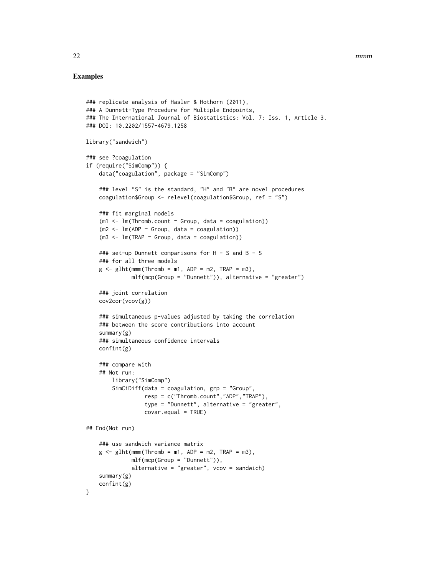```
### replicate analysis of Hasler & Hothorn (2011),
### A Dunnett-Type Procedure for Multiple Endpoints,
### The International Journal of Biostatistics: Vol. 7: Iss. 1, Article 3.
### DOI: 10.2202/1557-4679.1258
library("sandwich")
### see ?coagulation
if (require("SimComp")) {
    data("coagulation", package = "SimComp")
    ### level "S" is the standard, "H" and "B" are novel procedures
    coagulation$Group <- relevel(coagulation$Group, ref = "S")
    ### fit marginal models
    (m1 < -1m(Thromb.count \sim Group, data = coagulation))(m2 <- lm(ADP ~ Group, data = coagulation))
    (m3 \leq Im(TRAP \sim Group, data = coagulation))### set-up Dunnett comparisons for H - S and B - S
    ### for all three models
    g \le -glht(mmm(Thromb = m1, ADP = m2, TRAP = m3),
              mlf(mcp(Group = "Dunnett")), alternative = "greater")
    ### joint correlation
    cov2cor(vcov(g))
    ### simultaneous p-values adjusted by taking the correlation
    ### between the score contributions into account
    summary(g)
    ### simultaneous confidence intervals
    confint(g)
    ### compare with
    ## Not run:
        library("SimComp")
        SimCiDiff(data = coagulation, grp = "Group",
                  resp = c("Thromb.count","ADP","TRAP"),
                  type = "Dunnett", alternative = "greater",
                  covar.equals = TRUE)## End(Not run)
    ### use sandwich variance matrix
    g \le -glht(mmm(Thromb = m1, ADP = m2, TRAP = m3),
              mlf(mcp(Group = "Dunnett")),
              alternative = "greater", vcov = sandwich)
    summary(g)
    confint(g)
}
```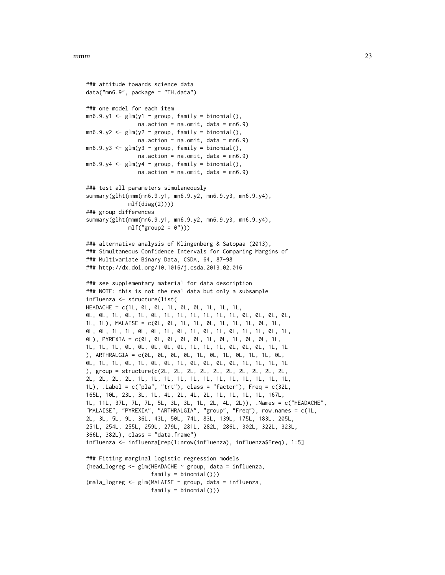```
### attitude towards science data
data("mn6.9", package = "TH.data")
### one model for each item
mn6.9.y1 \leq glm(y1 \sim group, family = binomial(),na. action = na. omit, data = mn6.9)mn6.9.y2 \leq glm(y2 \sim group, family = binomial(),na. action = na. omit, data = mn6.9)mn6.9.y3 \leq glm(y3 \sim group, family = binomial(),na.action = na.omit, data = mn6.9)
mn6.9.y4 \leq glm(y4 \sim group, family = binomial(),na. action = na. omit, data = mn6.9)### test all parameters simulaneously
summary(glht(mmm(mn6.9.y1, mn6.9.y2, mn6.9.y3, mn6.9.y4),
             mlf(diag(2))))### group differences
summary(glht(mmm(mn6.9.y1, mn6.9.y2, mn6.9.y3, mn6.9.y4),
             mlf("group2 = 0"))### alternative analysis of Klingenberg & Satopaa (2013),
### Simultaneous Confidence Intervals for Comparing Margins of
### Multivariate Binary Data, CSDA, 64, 87-98
### http://dx.doi.org/10.1016/j.csda.2013.02.016
### see supplementary material for data description
### NOTE: this is not the real data but only a subsample
influenza <- structure(list(
HEADACHE = c(1L, 0L, 0L, 1L, 0L, 0L, 1L, 1L, 1L,
0L, 0L, 1L, 0L, 1L, 0L, 1L, 1L, 1L, 1L, 1L, 1L, 0L, 0L, 0L, 0L,
1L, 1L), MALAISE = c(0L, 0L, 1L, 1L, 0L, 1L, 1L, 1L, 0L, 1L,
0L, 0L, 1L, 1L, 0L, 0L, 1L, 0L, 1L, 0L, 1L, 0L, 1L, 1L, 0L, 1L,
0L), PYREXIA = c(0L, 0L, 0L, 0L, 0L, 1L, 0L, 1L, 0L, 0L, 1L,
1L, 1L, 1L, 0L, 0L, 0L, 0L, 0L, 1L, 1L, 1L, 0L, 0L, 0L, 1L, 1L
), ARTHRALGIA = c(0L, 0L, 0L, 0L, 1L, 0L, 1L, 0L, 1L, 1L, 0L,
0L, 1L, 1L, 0L, 1L, 0L, 0L, 1L, 0L, 0L, 0L, 0L, 1L, 1L, 1L, 1L
), group = structure(c(2L, 2L, 2L, 2L, 2L, 2L, 2L, 2L, 2L, 2L,
2L, 2L, 2L, 2L, 1L, 1L, 1L, 1L, 1L, 1L, 1L, 1L, 1L, 1L, 1L, 1L,
1L), .Label = c("pla", "trt"), class = "factor"), Freq = c(32L,
165L, 10L, 23L, 3L, 1L, 4L, 2L, 4L, 2L, 1L, 1L, 1L, 1L, 167L,
1L, 11L, 37L, 7L, 7L, 5L, 3L, 3L, 1L, 2L, 4L, 2L)), .Names = c("HEADACHE",
"MALAISE", "PYREXIA", "ARTHRALGIA", "group", "Freq"), row.names = c(1L,
2L, 3L, 5L, 9L, 36L, 43L, 50L, 74L, 83L, 139L, 175L, 183L, 205L,
251L, 254L, 255L, 259L, 279L, 281L, 282L, 286L, 302L, 322L, 323L,
366L, 382L), class = "data.frame")
influenza <- influenza[rep(1:nrow(influenza), influenza$Freq), 1:5]
### Fitting marginal logistic regression models
(head_logreg <- glm(HEADACHE ~ group, data = influenza,
                    family = binomial())
(mala_logreg <- glm(MALAISE ~ group, data = influenza,
                    family = binomial())
```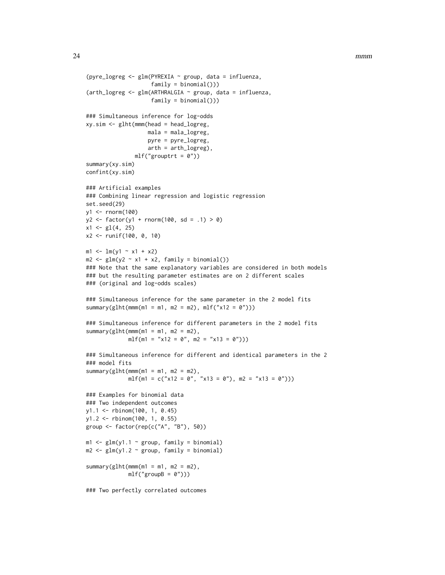```
(pyre_logreg <- glm(PYREXIA ~ group, data = influenza,
                    family = binomial())
(arth_logreg <- glm(ARTHRALGIA ~ group, data = influenza,
                    family = binomial())
### Simultaneous inference for log-odds
xy.sim <- glht(mmm(head = head_logreg,
                   mala = mala_logreg,
                   pyre = pyre_logreg,
                   arth = arth_logreg),
               mlf("growth = 0"))summary(xy.sim)
confint(xy.sim)
### Artificial examples
### Combining linear regression and logistic regression
set.seed(29)
y1 <- rnorm(100)
y2 \le - factor(y1 + rnorm(100, sd = .1) > 0)
x1 \leftarrow g1(4, 25)x2 <- runif(100, 0, 10)
m1 \leq -1m(y1 \sim x1 + x2)m2 \leq-glm(y2 \sim x1 + x2, family = binomial())
### Note that the same explanatory variables are considered in both models
### but the resulting parameter estimates are on 2 different scales
### (original and log-odds scales)
### Simultaneous inference for the same parameter in the 2 model fits
summary(glht(mmm(m1 = m1, m2 = m2), mlf("x12 = 0")))
### Simultaneous inference for different parameters in the 2 model fits
summary(glht(mmm(m1 = m1, m2 = m2),
             mlf(m1 = "x12 = 0", m2 = "x13 = 0"))### Simultaneous inference for different and identical parameters in the 2
### model fits
summary(glht(mmm(m1 = m1, m2 = m2),
             mlf(m1 = c("x12 = 0", "x13 = 0"), m2 = "x13 = 0")))
### Examples for binomial data
### Two independent outcomes
y1.1 <- rbinom(100, 1, 0.45)
y1.2 <- rbinom(100, 1, 0.55)
group <- factor(rep(c("A", "B"), 50))
m1 < - glm(y1.1 \sim group, family = binomial)
m2 \leq glm(y1.2 \approx group, family = binomial)summary(glht(mmm(m1 = m1, m2 = m2),
             mlf("groupB = 0"))
```
### Two perfectly correlated outcomes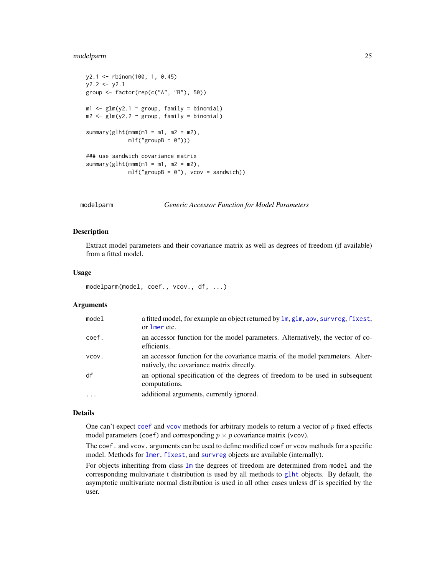# <span id="page-24-0"></span>modelparm 25

```
y2.1 <- rbinom(100, 1, 0.45)
y2.2 \le y2.1group <- factor(rep(c("A", "B"), 50))
m1 \leq -g \ln(y2.1 \sim \text{group}, \text{family} = \text{binomial})m2 \leq -g \ln(y2.2 \sim \text{group}, \text{family} = \text{binomial})summary(glht(mmm(m1 = m1, m2 = m2),
               mlf("groupB = 0"))### use sandwich covariance matrix
summary(glht(mmm(m1 = m1, m2 = m2),
               mIf("groupB = 0"), vcov = sandwich))
```
#### <span id="page-24-1"></span>modelparm *Generic Accessor Function for Model Parameters*

#### Description

Extract model parameters and their covariance matrix as well as degrees of freedom (if available) from a fitted model.

#### Usage

```
modelparm(model, coef., vcov., df, ...)
```
#### Arguments

| model   | a fitted model, for example an object returned by $\text{lm}$ , $\text{glm}$ , aov, survreg, fixest,<br>or lmer etc.        |
|---------|-----------------------------------------------------------------------------------------------------------------------------|
| coef.   | an accessor function for the model parameters. Alternatively, the vector of co-<br>efficients.                              |
| VCOV.   | an accessor function for the covariance matrix of the model parameters. Alter-<br>natively, the covariance matrix directly. |
| df      | an optional specification of the degrees of freedom to be used in subsequent<br>computations.                               |
| $\cdot$ | additional arguments, currently ignored.                                                                                    |

# Details

One can't expect [coef](#page-0-0) and [vcov](#page-0-0) methods for arbitrary models to return a vector of  $p$  fixed effects model parameters (coef) and corresponding  $p \times p$  covariance matrix (vcov).

The coef. and vcov. arguments can be used to define modified coef or vcov methods for a specific model. Methods for [lmer](#page-0-0), [fixest](#page-0-0), and [survreg](#page-0-0) objects are available (internally).

For objects inheriting from class [lm](#page-0-0) the degrees of freedom are determined from model and the corresponding multivariate t distribution is used by all methods to [glht](#page-11-1) objects. By default, the asymptotic multivariate normal distribution is used in all other cases unless df is specified by the user.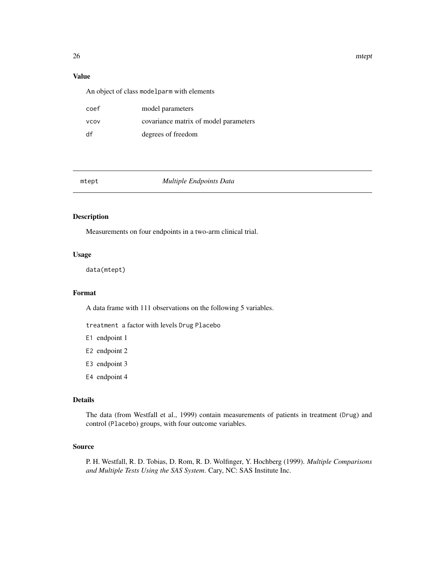26 meters and the state of the state of the state of the state of the state of the state of the state of the state of the state of the state of the state of the state of the state of the state of the state of the state of

# Value

An object of class modelparm with elements

| coef        | model parameters                      |
|-------------|---------------------------------------|
| <b>VCOV</b> | covariance matrix of model parameters |
| df          | degrees of freedom                    |

mtept *Multiple Endpoints Data*

# Description

Measurements on four endpoints in a two-arm clinical trial.

#### Usage

data(mtept)

# Format

A data frame with 111 observations on the following 5 variables.

treatment a factor with levels Drug Placebo

E1 endpoint 1

- E2 endpoint 2
- E3 endpoint 3
- E4 endpoint 4

# Details

The data (from Westfall et al., 1999) contain measurements of patients in treatment (Drug) and control (Placebo) groups, with four outcome variables.

# Source

P. H. Westfall, R. D. Tobias, D. Rom, R. D. Wolfinger, Y. Hochberg (1999). *Multiple Comparisons and Multiple Tests Using the SAS System*. Cary, NC: SAS Institute Inc.

<span id="page-25-0"></span>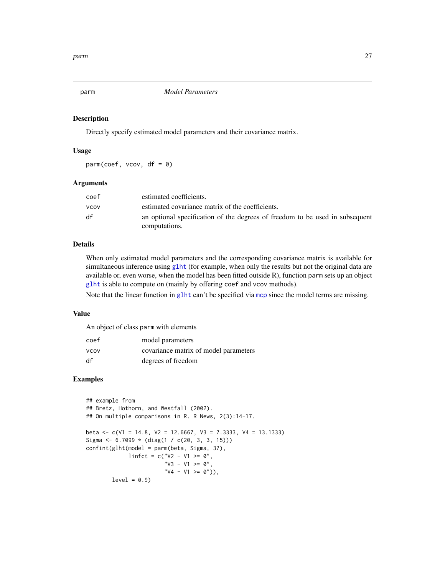<span id="page-26-0"></span>

Directly specify estimated model parameters and their covariance matrix.

# Usage

 $param(coeff, vcov, df = 0)$ 

# Arguments

| coef        | estimated coefficients.                                                                       |
|-------------|-----------------------------------------------------------------------------------------------|
| <b>VCOV</b> | estimated covariance matrix of the coefficients.                                              |
| df          | an optional specification of the degrees of freedom to be used in subsequent<br>computations. |

# Details

When only estimated model parameters and the corresponding covariance matrix is available for simultaneous inference using [glht](#page-11-1) (for example, when only the results but not the original data are available or, even worse, when the model has been fitted outside R), function parm sets up an object [glht](#page-11-1) is able to compute on (mainly by offering coef and vcov methods).

Note that the linear function in g1ht can't be specified via [mcp](#page-11-2) since the model terms are missing.

# Value

An object of class parm with elements

| coef        | model parameters                      |
|-------------|---------------------------------------|
| <b>VCOV</b> | covariance matrix of model parameters |
| df          | degrees of freedom                    |

```
## example from
## Bretz, Hothorn, and Westfall (2002).
## On multiple comparisons in R. R News, 2(3):14-17.
beta <- c(V1 = 14.8, V2 = 12.6667, V3 = 7.3333, V4 = 13.1333)
Sigma <- 6.7099 * (diag(1 / c(20, 3, 3, 15)))
confint(glht(model = parm(beta, Sigma, 37),
             linfct = c("V2 - V1 > = 0","V3 - V1 >= 0",
                        "V4 - V1 \geq 0")),
        level = 0.9
```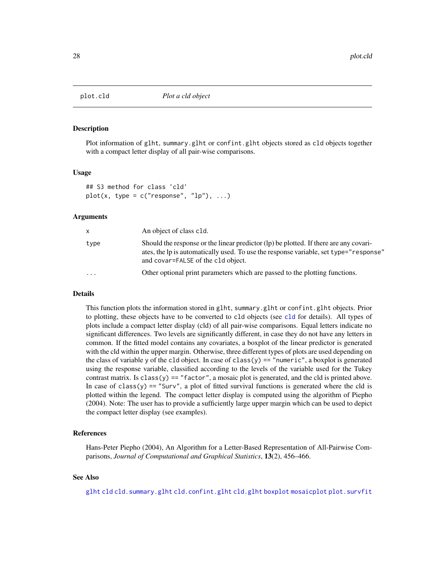<span id="page-27-1"></span><span id="page-27-0"></span>

Plot information of glht, summary.glht or confint.glht objects stored as cld objects together with a compact letter display of all pair-wise comparisons.

#### Usage

```
## S3 method for class 'cld'
plot(x, type = c("response", "lp"), ...)
```
#### Arguments

| x         | An object of class c1d.                                                                                                                                                                                              |
|-----------|----------------------------------------------------------------------------------------------------------------------------------------------------------------------------------------------------------------------|
| type      | Should the response or the linear predictor (lp) be plotted. If there are any covari-<br>ates, the lp is automatically used. To use the response variable, set type="response"<br>and covar=FALSE of the c1d object. |
| $\ddotsc$ | Other optional print parameters which are passed to the plotting functions.                                                                                                                                          |

# Details

This function plots the information stored in glht, summary.glht or confint.glht objects. Prior to plotting, these objects have to be converted to cld objects (see [cld](#page-5-1) for details). All types of plots include a compact letter display (cld) of all pair-wise comparisons. Equal letters indicate no significant differences. Two levels are significantly different, in case they do not have any letters in common. If the fitted model contains any covariates, a boxplot of the linear predictor is generated with the cld within the upper margin. Otherwise, three different types of plots are used depending on the class of variable y of the c1d object. In case of class(y) == "numeric", a boxplot is generated using the response variable, classified according to the levels of the variable used for the Tukey contrast matrix. Is class(y) == "factor", a mosaic plot is generated, and the cld is printed above. In case of class(y) == "Surv", a plot of fitted survival functions is generated where the cld is plotted within the legend. The compact letter display is computed using the algorithm of Piepho (2004). Note: The user has to provide a sufficiently large upper margin which can be used to depict the compact letter display (see examples).

# References

Hans-Peter Piepho (2004), An Algorithm for a Letter-Based Representation of All-Pairwise Comparisons, *Journal of Computational and Graphical Statistics*, 13(2), 456–466.

# See Also

[glht](#page-11-1) [cld](#page-5-1) [cld.summary.glht](#page-5-2) [cld.confint.glht](#page-5-2) [cld.glht](#page-5-2) [boxplot](#page-0-0) [mosaicplot](#page-0-0) [plot.survfit](#page-0-0)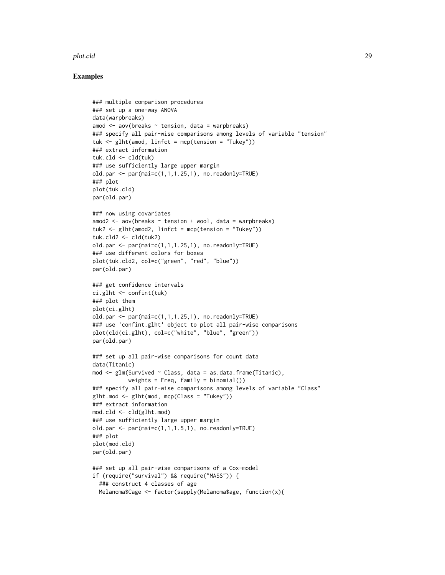#### plot.cld 29

```
### multiple comparison procedures
### set up a one-way ANOVA
data(warpbreaks)
amod \leq aov(breaks \sim tension, data = warpbreaks)
### specify all pair-wise comparisons among levels of variable "tension"
tuk \leq glht(amod, linfct = mcp(tension = "Tukey"))
### extract information
tuk.cld <- cld(tuk)
### use sufficiently large upper margin
old.par <- par(mai=c(1,1,1.25,1), no.readonly=TRUE)
### plot
plot(tuk.cld)
par(old.par)
### now using covariates
amod2 \leq aov(breaks \sim tension + wool, data = warpbreaks)
tuk2 <- glht(amod2, linfct = mcp(tension = "Tukey"))
tuk.cld2 <- cld(tuk2)
old.par \leq par(mai=c(1,1,1.25,1), no.readonly=TRUE)
### use different colors for boxes
plot(tuk.cld2, col=c("green", "red", "blue"))
par(old.par)
### get confidence intervals
ci.glht <- confint(tuk)
### plot them
plot(ci.glht)
old.par \leq par(mai=c(1,1,1.25,1), no.readonly=TRUE)
### use 'confint.glht' object to plot all pair-wise comparisons
plot(cld(ci.glht), col=c("white", "blue", "green"))
par(old.par)
### set up all pair-wise comparisons for count data
data(Titanic)
mod <- glm(Survived ~ Class, data = as.data.frame(Titanic),
           weights = Freq, family = binomial()### specify all pair-wise comparisons among levels of variable "Class"
g1ht.mod \leq g1ht(mod, mcp(Class = "Tukey"))
### extract information
mod.cld <- cld(glht.mod)
### use sufficiently large upper margin
old.par <- par(mai=c(1,1,1.5,1), no.readonly=TRUE)
### plot
plot(mod.cld)
par(old.par)
### set up all pair-wise comparisons of a Cox-model
if (require("survival") && require("MASS")) {
  ### construct 4 classes of age
  Melanoma$Cage <- factor(sapply(Melanoma$age, function(x){
```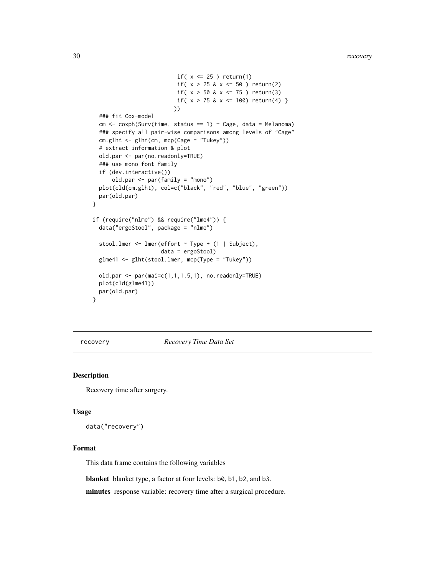```
if(x \leq 25) return(1)
                          if( x > 25 & x \le 50 ) return(2)
                          if( x > 50 & x \le 75 ) return(3)
                          if( x > 75 & x \le 100) return(4) }
                         ))
  ### fit Cox-model
  cm < -\cosh(Surv(time, status == 1) \sim Case, data = Melanoma)### specify all pair-wise comparisons among levels of "Cage"
  cm.glht <- glht(cm, mcp(Cage = "Tukey"))
  # extract information & plot
  old.par <- par(no.readonly=TRUE)
  ### use mono font family
  if (dev.interactive())
      old.par <- par(family = "mono")
  plot(cld(cm.glht), col=c("black", "red", "blue", "green"))
 par(old.par)
}
if (require("nlme") && require("lme4")) {
  data("ergoStool", package = "nlme")
  stool.lmer <- lmer(effort ~ Type + (1 | Subject),
                     data = ergoStool)
  glme41 <- glht(stool.lmer, mcp(Type = "Tukey"))
  old.par <- par(mai=c(1,1,1.5,1), no.readonly=TRUE)
  plot(cld(glme41))
  par(old.par)
}
```
recovery *Recovery Time Data Set*

# Description

Recovery time after surgery.

#### Usage

data("recovery")

# Format

This data frame contains the following variables

blanket blanket type, a factor at four levels: b0, b1, b2, and b3.

minutes response variable: recovery time after a surgical procedure.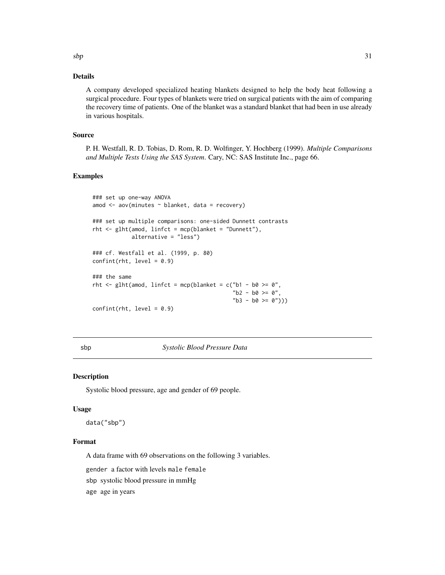# <span id="page-30-0"></span>Details

A company developed specialized heating blankets designed to help the body heat following a surgical procedure. Four types of blankets were tried on surgical patients with the aim of comparing the recovery time of patients. One of the blanket was a standard blanket that had been in use already in various hospitals.

# Source

P. H. Westfall, R. D. Tobias, D. Rom, R. D. Wolfinger, Y. Hochberg (1999). *Multiple Comparisons and Multiple Tests Using the SAS System*. Cary, NC: SAS Institute Inc., page 66.

# Examples

```
### set up one-way ANOVA
amod <- aov(minutes ~ blanket, data = recovery)
### set up multiple comparisons: one-sided Dunnett contrasts
rht \leq glht(amod, linfct = mcp(blanket = "Dunnett"),
           alternative = "less")
### cf. Westfall et al. (1999, p. 80)
confint(rht, level = 0.9)### the same
rht <- glht(amod, linfct = mcp(blanket = c("b1 - b0 >= 0",
                                           "b2 - b0 >= 0",
                                           nb3 - b0 \ge 0")confint(rht, level = 0.9)
```
sbp *Systolic Blood Pressure Data*

#### Description

Systolic blood pressure, age and gender of 69 people.

#### Usage

data("sbp")

#### Format

A data frame with 69 observations on the following 3 variables.

gender a factor with levels male female

sbp systolic blood pressure in mmHg

age age in years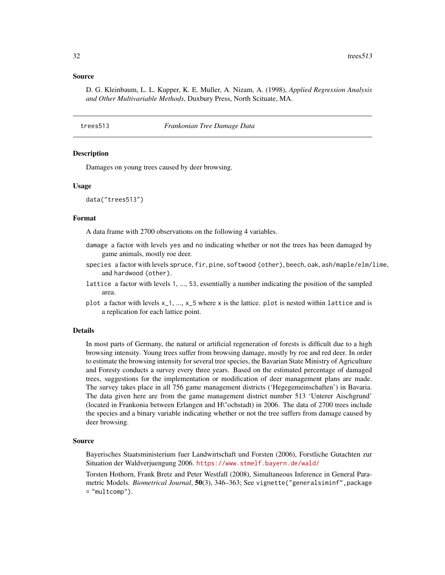# <span id="page-31-0"></span>Source

D. G. Kleinbaum, L. L. Kupper, K. E. Muller, A. Nizam, A. (1998), *Applied Regression Analysis and Other Multivariable Methods*, Duxbury Press, North Scituate, MA.

#### trees513 *Frankonian Tree Damage Data*

#### **Description**

Damages on young trees caused by deer browsing.

#### Usage

```
data("trees513")
```
#### Format

A data frame with 2700 observations on the following 4 variables.

- damage a factor with levels yes and no indicating whether or not the trees has been damaged by game animals, mostly roe deer.
- species a factor with levels spruce, fir, pine, softwood (other), beech, oak, ash/maple/elm/lime, and hardwood (other).
- lattice a factor with levels 1, ..., 53, essentially a number indicating the position of the sampled area.
- plot a factor with levels  $x_1, ..., x_5$  where x is the lattice. plot is nested within lattice and is a replication for each lattice point.

#### Details

In most parts of Germany, the natural or artificial regeneration of forests is difficult due to a high browsing intensity. Young trees suffer from browsing damage, mostly by roe and red deer. In order to estimate the browsing intensity for several tree species, the Bavarian State Ministry of Agriculture and Foresty conducts a survey every three years. Based on the estimated percentage of damaged trees, suggestions for the implementation or modification of deer management plans are made. The survey takes place in all 756 game management districts ('Hegegemeinschaften') in Bavaria. The data given here are from the game management district number 513 'Unterer Aischgrund' (located in Frankonia between Erlangen and H\"ochstadt) in 2006. The data of 2700 trees include the species and a binary variable indicating whether or not the tree suffers from damage caused by deer browsing.

#### Source

Bayerisches Staatsministerium fuer Landwirtschaft und Forsten (2006), Forstliche Gutachten zur Situation der Waldverjuengung 2006. <https://www.stmelf.bayern.de/wald/>

Torsten Hothorn, Frank Bretz and Peter Westfall (2008), Simultaneous Inference in General Parametric Models. *Biometrical Journal*, 50(3), 346–363; See vignette("generalsiminf",package = "multcomp").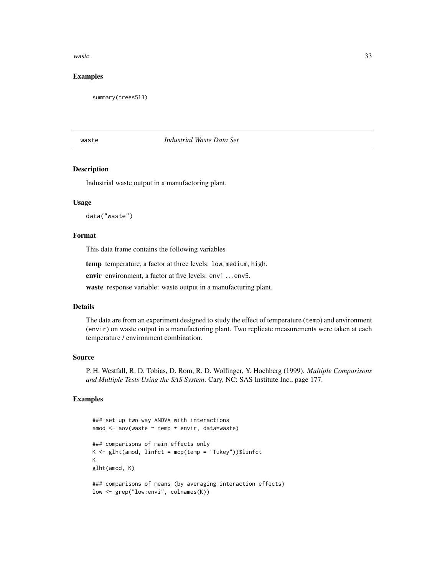#### <span id="page-32-0"></span>waste 33

# Examples

summary(trees513)

# waste *Industrial Waste Data Set*

# Description

Industrial waste output in a manufactoring plant.

# Usage

data("waste")

# Format

This data frame contains the following variables

temp temperature, a factor at three levels: low, medium, high.

envir environment, a factor at five levels: env1 ... env5.

waste response variable: waste output in a manufacturing plant.

# Details

The data are from an experiment designed to study the effect of temperature (temp) and environment (envir) on waste output in a manufactoring plant. Two replicate measurements were taken at each temperature / environment combination.

# Source

P. H. Westfall, R. D. Tobias, D. Rom, R. D. Wolfinger, Y. Hochberg (1999). *Multiple Comparisons and Multiple Tests Using the SAS System*. Cary, NC: SAS Institute Inc., page 177.

```
### set up two-way ANOVA with interactions
amod <- aov(waste ~ temp * envir, data=waste)
### comparisons of main effects only
K \leq gInt(amod, linfct = mcp(temp = "Tukey"))$linfct
K
glht(amod, K)
### comparisons of means (by averaging interaction effects)
low <- grep("low:envi", colnames(K))
```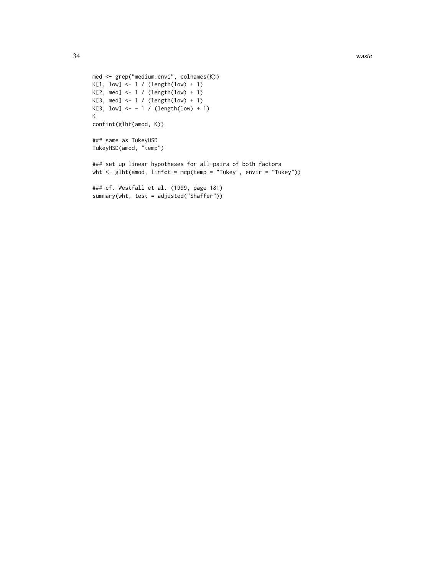```
med <- grep("medium:envi", colnames(K))
K[1, low] < -1 / (length(low) + 1)K[2, med] < -1 / (length(low) + 1)K[3, med] \leftarrow 1 / (length(low) + 1)
K[3, \text{low}] <- - 1 / (length(low) + 1)
K
confint(glht(amod, K))
### same as TukeyHSD
TukeyHSD(amod, "temp")
### set up linear hypotheses for all-pairs of both factors
wht <- glht(amod, linfct = mcp(temp = "Tukey", envir = "Tukey"))
### cf. Westfall et al. (1999, page 181)
summary(wht, test = adjusted("Shaffer"))
```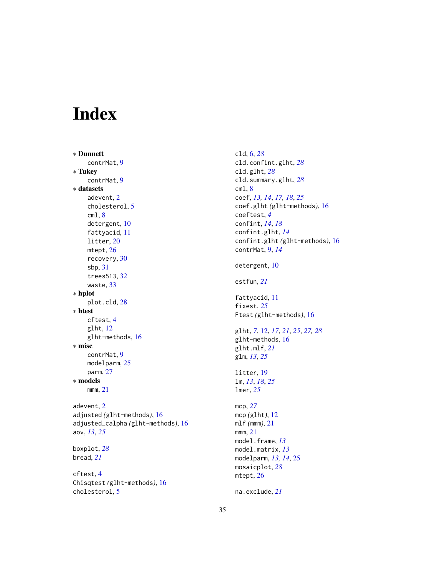# <span id="page-34-0"></span>Index

∗ Dunnett contrMat, [9](#page-8-0) ∗ Tukey contrMat, [9](#page-8-0) ∗ datasets adevent, [2](#page-1-0) cholesterol, [5](#page-4-0) cml, [8](#page-7-0) detergent, [10](#page-9-0) fattyacid, [11](#page-10-0) litter, [20](#page-19-0) mtept, [26](#page-25-0) recovery, [30](#page-29-0) sbp, [31](#page-30-0) trees513, [32](#page-31-0) waste, [33](#page-32-0) ∗ hplot plot.cld, [28](#page-27-0) ∗ htest cftest, [4](#page-3-0) glht, [12](#page-11-0) glht-methods, [16](#page-15-0) ∗ misc contrMat, [9](#page-8-0) modelparm, [25](#page-24-0) parm, [27](#page-26-0) ∗ models mmm, [21](#page-20-0) adevent, [2](#page-1-0) adjusted *(*glht-methods*)*, [16](#page-15-0) adjusted\_calpha *(*glht-methods*)*, [16](#page-15-0) aov, *[13](#page-12-0)*, *[25](#page-24-0)* boxplot, *[28](#page-27-0)* bread, *[21](#page-20-0)* cftest, [4](#page-3-0) Chisqtest *(*glht-methods*)*, [16](#page-15-0)

cholesterol, [5](#page-4-0)

cld, [6,](#page-5-0) *[28](#page-27-0)* cld.confint.glht, *[28](#page-27-0)* cld.glht, *[28](#page-27-0)* cld.summary.glht, *[28](#page-27-0)* cml, [8](#page-7-0) coef, *[13,](#page-12-0) [14](#page-13-0)*, *[17,](#page-16-0) [18](#page-17-0)*, *[25](#page-24-0)* coef.glht *(*glht-methods*)*, [16](#page-15-0) coeftest, *[4](#page-3-0)* confint, *[14](#page-13-0)*, *[18](#page-17-0)* confint.glht, *[14](#page-13-0)* confint.glht *(*glht-methods*)*, [16](#page-15-0) contrMat, [9,](#page-8-0) *[14](#page-13-0)* detergent, [10](#page-9-0) estfun, *[21](#page-20-0)* fattyacid, [11](#page-10-0) fixest, *[25](#page-24-0)* Ftest *(*glht-methods*)*, [16](#page-15-0) glht, *[7](#page-6-0)*, [12,](#page-11-0) *[17](#page-16-0)*, *[21](#page-20-0)*, *[25](#page-24-0)*, *[27,](#page-26-0) [28](#page-27-0)* glht-methods, [16](#page-15-0) glht.mlf, *[21](#page-20-0)* glm, *[13](#page-12-0)*, *[25](#page-24-0)* litter, [19](#page-18-0) lm, *[13](#page-12-0)*, *[18](#page-17-0)*, *[25](#page-24-0)* lmer, *[25](#page-24-0)* mcp, *[27](#page-26-0)* mcp *(*glht*)*, [12](#page-11-0) mlf *(*mmm*)*, [21](#page-20-0) mmm, [21](#page-20-0) model.frame, *[13](#page-12-0)* model.matrix, *[13](#page-12-0)* modelparm, *[13,](#page-12-0) [14](#page-13-0)*, [25](#page-24-0) mosaicplot, *[28](#page-27-0)* mtept, [26](#page-25-0) na.exclude, *[21](#page-20-0)*